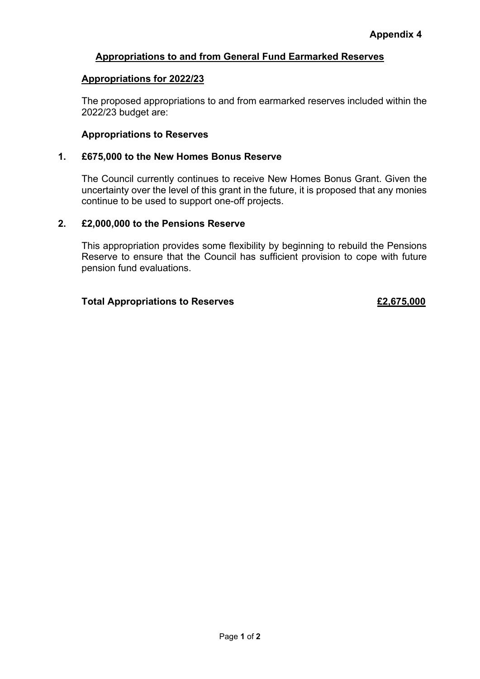# **Appropriations to and from General Fund Earmarked Reserves**

## **Appropriations for 2022/23**

The proposed appropriations to and from earmarked reserves included within the 2022/23 budget are:

## **Appropriations to Reserves**

#### **1. £675,000 to the New Homes Bonus Reserve**

The Council currently continues to receive New Homes Bonus Grant. Given the uncertainty over the level of this grant in the future, it is proposed that any monies continue to be used to support one-off projects.

#### **2. £2,000,000 to the Pensions Reserve**

This appropriation provides some flexibility by beginning to rebuild the Pensions Reserve to ensure that the Council has sufficient provision to cope with future pension fund evaluations.

## **Total Appropriations to Reserves £2,675,000**